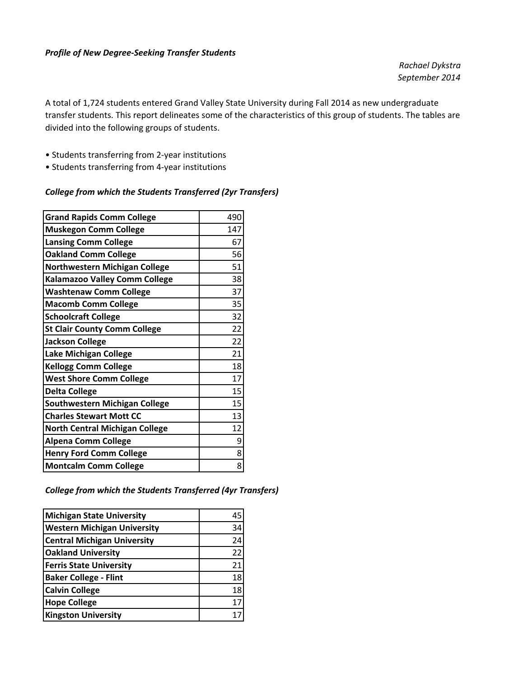#### *Profile of New Degree‐Seeking Transfer Students*

*Rachael Dykstra September 2014*

A total of 1,724 students entered Grand Valley State University during Fall 2014 as new undergraduate transfer students. This report delineates some of the characteristics of this group of students. The tables are divided into the following groups of students.

- Students transferring from 2‐year institutions
- Students transferring from 4‐year institutions

#### *College from which the Students Transferred (2yr Transfers)*

| <b>Grand Rapids Comm College</b>      | 490 |
|---------------------------------------|-----|
| <b>Muskegon Comm College</b>          | 147 |
| <b>Lansing Comm College</b>           | 67  |
| <b>Oakland Comm College</b>           | 56  |
| Northwestern Michigan College         | 51  |
| Kalamazoo Valley Comm College         | 38  |
| <b>Washtenaw Comm College</b>         | 37  |
| <b>Macomb Comm College</b>            | 35  |
| <b>Schoolcraft College</b>            | 32  |
| <b>St Clair County Comm College</b>   | 22  |
| <b>Jackson College</b>                | 22  |
| Lake Michigan College                 | 21  |
| <b>Kellogg Comm College</b>           | 18  |
| <b>West Shore Comm College</b>        | 17  |
| <b>Delta College</b>                  | 15  |
| Southwestern Michigan College         | 15  |
| <b>Charles Stewart Mott CC</b>        | 13  |
| <b>North Central Michigan College</b> | 12  |
| <b>Alpena Comm College</b>            | 9   |
| <b>Henry Ford Comm College</b>        | 8   |
| <b>Montcalm Comm College</b>          | 8   |

*College from which the Students Transferred (4yr Transfers)*

| <b>Michigan State University</b>   | 45 |
|------------------------------------|----|
| <b>Western Michigan University</b> | 34 |
| <b>Central Michigan University</b> | 24 |
| <b>Oakland University</b>          | 22 |
| <b>Ferris State University</b>     | 21 |
| <b>Baker College - Flint</b>       | 18 |
| <b>Calvin College</b>              | 18 |
| <b>Hope College</b>                | 17 |
| <b>Kingston University</b>         |    |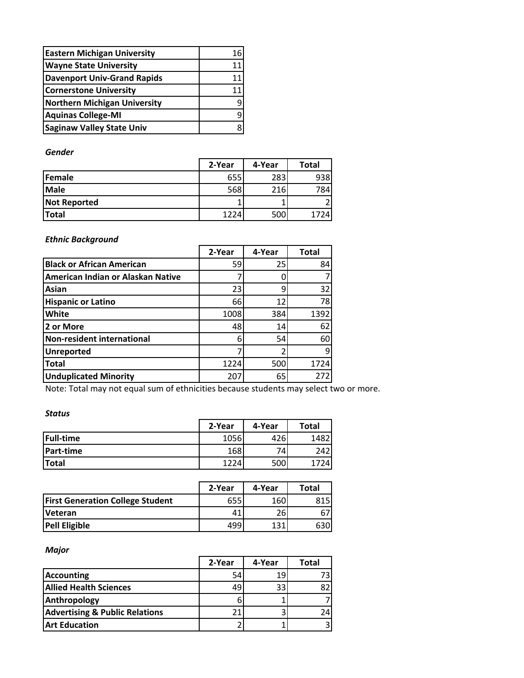| <b>Eastern Michigan University</b>  | 16 |
|-------------------------------------|----|
| <b>Wayne State University</b>       |    |
| <b>Davenport Univ-Grand Rapids</b>  |    |
| <b>Cornerstone University</b>       |    |
| <b>Northern Michigan University</b> |    |
| <b>Aquinas College-MI</b>           |    |
| <b>Saginaw Valley State Univ</b>    |    |

### *Gender*

|                     | 2-Year | 4-Year | Total |
|---------------------|--------|--------|-------|
| <b>IFemale</b>      | 655    | 283    | 938   |
| <b>Male</b>         | 568    | 216    | 784   |
| <b>Not Reported</b> |        |        |       |
| <b>Total</b>        | 1224   | 500    | 1724  |

## *Ethnic Background*

|                                   | 2-Year | 4-Year | <b>Total</b> |
|-----------------------------------|--------|--------|--------------|
| <b>Black or African American</b>  | 59     | 25     | 84           |
| American Indian or Alaskan Native |        |        |              |
| Asian                             | 23     | 9      | 32           |
| <b>Hispanic or Latino</b>         | 66     | 12     | 78           |
| White                             | 1008   | 384    | 1392         |
| 2 or More                         | 48     | 14     | 62           |
| Non-resident international        | 6      | 54     | 60           |
| <b>Unreported</b>                 |        |        | 9            |
| <b>Total</b>                      | 1224   | 500    | 1724         |
| <b>Unduplicated Minority</b>      | 207    | 65     | 272          |

Note: Total may not equal sum of ethnicities because students may select two or more.

## *Status*

|                  | 2-Year | 4-Year | Total |
|------------------|--------|--------|-------|
| <b>Full-time</b> | 1056   | 426    | 14821 |
| <b>Part-time</b> | 168    | 74.    | 2421  |
| <b>Total</b>     | 1224   | 500    | 74I   |

|                                         | 2-Year | 4-Year | Total |
|-----------------------------------------|--------|--------|-------|
| <b>First Generation College Student</b> | 655    | 160    | 815I  |
| <b>Veteran</b>                          | 41     | 26     | 67    |
| <b>Pell Eligible</b>                    | 499    | 121    | 630   |

### *Major*

|                                           | 2-Year | 4-Year | Total |
|-------------------------------------------|--------|--------|-------|
| <b>Accounting</b>                         | 54     | 19     |       |
| <b>Allied Health Sciences</b>             | 49     | 33     |       |
| Anthropology                              |        |        |       |
| <b>Advertising &amp; Public Relations</b> | 21     |        | 24I   |
| <b>Art Education</b>                      |        |        |       |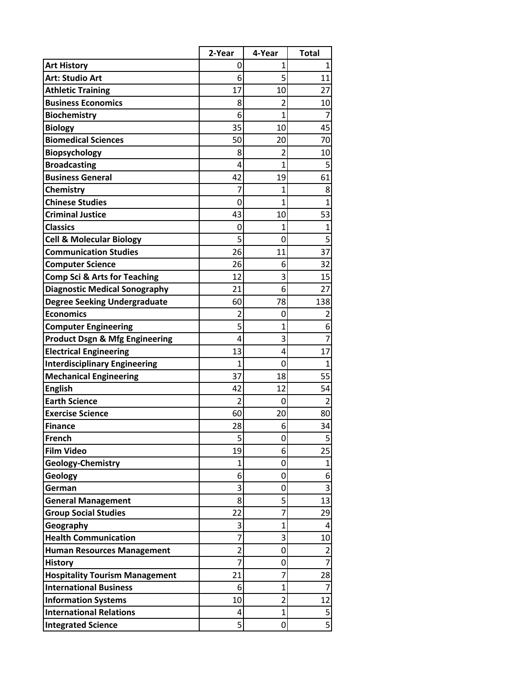|                                           | 2-Year         | 4-Year         | <b>Total</b>   |
|-------------------------------------------|----------------|----------------|----------------|
| <b>Art History</b>                        | 0              | 1              | 1              |
| <b>Art: Studio Art</b>                    | 6              | 5              | 11             |
| <b>Athletic Training</b>                  | 17             | 10             | 27             |
| <b>Business Economics</b>                 | 8              | $\overline{2}$ | 10             |
| <b>Biochemistry</b>                       | 6              | $\overline{1}$ | 7              |
| <b>Biology</b>                            | 35             | 10             | 45             |
| <b>Biomedical Sciences</b>                | 50             | 20             | 70             |
| Biopsychology                             | 8              | $\overline{2}$ | 10             |
| <b>Broadcasting</b>                       | 4              | 1              | 5              |
| <b>Business General</b>                   | 42             | 19             | 61             |
| Chemistry                                 | 7              | 1              | 8              |
| <b>Chinese Studies</b>                    | 0              | $\mathbf{1}$   | $\overline{1}$ |
| <b>Criminal Justice</b>                   | 43             | 10             | 53             |
| <b>Classics</b>                           | 0              | 1              | $\overline{1}$ |
| <b>Cell &amp; Molecular Biology</b>       | 5              | 0              | 5              |
| <b>Communication Studies</b>              | 26             | 11             | 37             |
| <b>Computer Science</b>                   | 26             | 6              | 32             |
| <b>Comp Sci &amp; Arts for Teaching</b>   | 12             | 3              | 15             |
| <b>Diagnostic Medical Sonography</b>      | 21             | 6              | 27             |
| <b>Degree Seeking Undergraduate</b>       | 60             | 78             | 138            |
| <b>Economics</b>                          | $\overline{2}$ | 0              | $\overline{2}$ |
| <b>Computer Engineering</b>               | 5              | 1              | 6              |
| <b>Product Dsgn &amp; Mfg Engineering</b> | 4              | 3              | $\overline{7}$ |
| <b>Electrical Engineering</b>             | 13             | 4              | 17             |
| <b>Interdisciplinary Engineering</b>      | 1              | 0              | 1              |
| <b>Mechanical Engineering</b>             | 37             | 18             | 55             |
| <b>English</b>                            | 42             | 12             | 54             |
| <b>Earth Science</b>                      | $\overline{2}$ | 0              | $\overline{2}$ |
| <b>Exercise Science</b>                   | 60             | 20             | 80             |
| <b>Finance</b><br><b>French</b>           | 28             | 6              | 34             |
| <b>Film Video</b>                         | 5<br>19        | 0<br>6         | 5<br>25        |
| <b>Geology-Chemistry</b>                  | 1              | 0              | $\mathbf 1$    |
| Geology                                   | 6              | 0              | 6              |
| German                                    | 3              | 0              | 3              |
| <b>General Management</b>                 | 8              | 5              | 13             |
| <b>Group Social Studies</b>               | 22             | 7              | 29             |
| Geography                                 | 3              | 1              | 4              |
| <b>Health Communication</b>               | 7              | 3              | 10             |
| <b>Human Resources Management</b>         | $\overline{2}$ | 0              | $\overline{2}$ |
| <b>History</b>                            | 7              | 0              | 7              |
| <b>Hospitality Tourism Management</b>     | 21             | 7              | 28             |
| <b>International Business</b>             | 6              | 1              | 7              |
| <b>Information Systems</b>                | 10             | $\overline{2}$ | 12             |
| <b>International Relations</b>            | 4              | $\mathbf{1}$   | 5              |
| <b>Integrated Science</b>                 | 5              | 0              | $\overline{5}$ |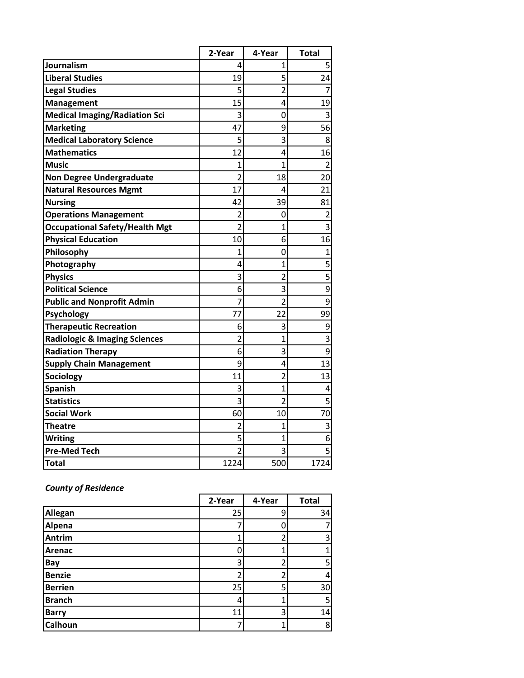|                                          | 2-Year         | 4-Year         | <b>Total</b>   |
|------------------------------------------|----------------|----------------|----------------|
| Journalism                               | 4              | 1              |                |
| <b>Liberal Studies</b>                   | 19             | 5              | 24             |
| <b>Legal Studies</b>                     | 5              | $\overline{2}$ | 7              |
| <b>Management</b>                        | 15             | 4              | 19             |
| <b>Medical Imaging/Radiation Sci</b>     | 3              | 0              | 3              |
| <b>Marketing</b>                         | 47             | 9              | 56             |
| <b>Medical Laboratory Science</b>        | 5              | 3              | 8              |
| <b>Mathematics</b>                       | 12             | 4              | 16             |
| <b>Music</b>                             | 1              | 1              | $\overline{2}$ |
| <b>Non Degree Undergraduate</b>          | $\overline{2}$ | 18             | 20             |
| <b>Natural Resources Mgmt</b>            | 17             | 4              | 21             |
| <b>Nursing</b>                           | 42             | 39             | 81             |
| <b>Operations Management</b>             | $\overline{2}$ | 0              | $\overline{2}$ |
| <b>Occupational Safety/Health Mgt</b>    | $\overline{2}$ | $\overline{1}$ | 3              |
| <b>Physical Education</b>                | 10             | 6              | 16             |
| Philosophy                               | 1              | 0              | $\overline{1}$ |
| Photography                              | 4              | $\overline{1}$ | $\overline{5}$ |
| <b>Physics</b>                           | 3              | $\overline{2}$ | $\overline{5}$ |
| <b>Political Science</b>                 | 6              | 3              | $\overline{9}$ |
| <b>Public and Nonprofit Admin</b>        | 7              | $\overline{2}$ | 9              |
| Psychology                               | 77             | 22             | 99             |
| <b>Therapeutic Recreation</b>            | 6              | 3              | 9              |
| <b>Radiologic &amp; Imaging Sciences</b> | $\overline{2}$ | 1              | $\overline{3}$ |
| <b>Radiation Therapy</b>                 | 6              | 3              | 9              |
| <b>Supply Chain Management</b>           | 9              | 4              | 13             |
| Sociology                                | 11             | $\overline{2}$ | 13             |
| <b>Spanish</b>                           | 3              | $\overline{1}$ | 4              |
| <b>Statistics</b>                        | 3              | $\overline{2}$ | 5              |
| <b>Social Work</b>                       | 60             | 10             | 70             |
| Theatre                                  | $\overline{2}$ | 1              | 3              |
| <b>Writing</b>                           | 5              | 1              | 6              |
| <b>Pre-Med Tech</b>                      | $\overline{2}$ | 3              | 5              |
| <b>Total</b>                             | 1224           | 500            | 1724           |

# *County of Residence*

|                | 2-Year | 4-Year | <b>Total</b> |
|----------------|--------|--------|--------------|
| Allegan        | 25     | 9      | 34           |
| Alpena         |        |        |              |
| <b>Antrim</b>  |        |        | 3            |
| Arenac         |        |        |              |
| Bay            | 3      | า      | 5            |
| <b>Benzie</b>  |        |        | 4            |
| <b>Berrien</b> | 25     | 5      | 30           |
| <b>Branch</b>  | 4      |        | 5            |
| <b>Barry</b>   | 11     | 3      | 14           |
| Calhoun        |        |        | 8            |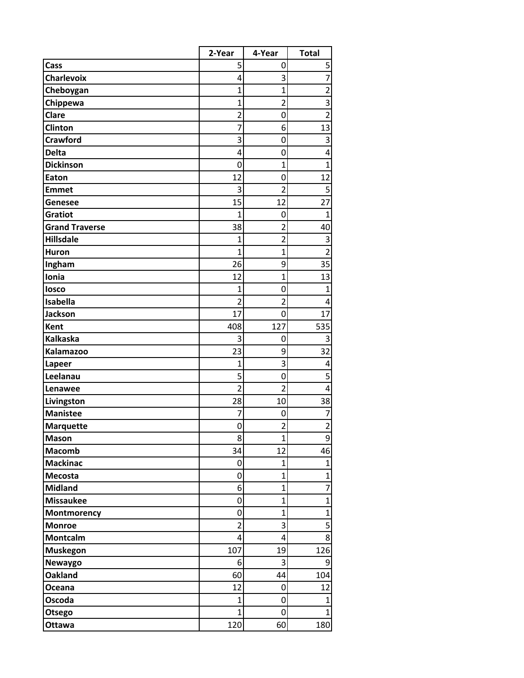|                                   | 2-Year                  | 4-Year             | <b>Total</b>                   |
|-----------------------------------|-------------------------|--------------------|--------------------------------|
| Cass                              | 5                       | 0                  | 5                              |
| <b>Charlevoix</b>                 | 4                       | 3                  | $\overline{7}$                 |
| Cheboygan                         | $\overline{1}$          | 1                  | $\overline{2}$                 |
| Chippewa                          | $\mathbf{1}$            | $\overline{2}$     | 3                              |
| Clare                             | $\overline{2}$          | 0                  | $\overline{2}$                 |
| Clinton                           | 7                       | 6                  | 13                             |
| <b>Crawford</b>                   | 3                       | 0                  | 3                              |
| <b>Delta</b>                      | 4                       | 0                  | 4                              |
| <b>Dickinson</b>                  | 0                       | $\mathbf{1}$       | $\overline{1}$                 |
| Eaton                             | 12                      | 0                  | 12                             |
| <b>Emmet</b>                      | 3                       | $\overline{2}$     | 5                              |
| Genesee                           | 15                      | 12                 | 27                             |
| <b>Gratiot</b>                    | $\mathbf{1}$            | 0                  | $\mathbf{1}$                   |
| <b>Grand Traverse</b>             | 38                      | $\overline{2}$     | 40                             |
| <b>Hillsdale</b>                  | 1                       | $\overline{2}$     | 3                              |
| <b>Huron</b>                      | $\overline{1}$          | $\mathbf{1}$       | $\overline{2}$                 |
| Ingham                            | 26                      | 9                  | 35                             |
| Ionia                             | 12                      | $\overline{1}$     | 13                             |
| losco                             | 1                       | 0                  | $\mathbf{1}$                   |
| Isabella                          | $\overline{2}$          | $\overline{2}$     | 4                              |
| <b>Jackson</b>                    | 17                      | 0                  | 17                             |
| <b>Kent</b>                       | 408                     | 127                | 535                            |
| <b>Kalkaska</b>                   | 3                       | 0                  | 3                              |
| Kalamazoo                         | 23                      | 9                  | 32                             |
| Lapeer                            | $\mathbf{1}$            | 3                  | 4                              |
| Leelanau                          | 5                       | 0                  | 5                              |
| Lenawee                           | $\overline{2}$          | $\overline{2}$     | 4                              |
| Livingston                        | 28                      | 10                 | 38                             |
| <b>Manistee</b>                   | 7                       | 0                  | 7                              |
| <b>Marquette</b>                  | 0                       | $\overline{2}$     | $\overline{2}$                 |
| <b>Mason</b>                      | 8                       | 1                  | 9                              |
| <b>Macomb</b>                     | 34                      | 12<br>$\mathbf{1}$ | 46                             |
| <b>Mackinac</b><br><b>Mecosta</b> | 0<br>$\mathbf 0$        | 1                  | $\mathbf{1}$<br>$\overline{1}$ |
| <b>Midland</b>                    | 6                       | $\mathbf{1}$       | $\overline{7}$                 |
| <b>Missaukee</b>                  | 0                       | 1                  | $\overline{1}$                 |
| Montmorency                       | 0                       | $\overline{1}$     | $\overline{1}$                 |
| <b>Monroe</b>                     | $\overline{\mathbf{c}}$ | 3                  | $\overline{\mathbf{5}}$        |
| Montcalm                          | 4                       | 4                  | 8                              |
| <b>Muskegon</b>                   | 107                     | 19                 | 126                            |
| Newaygo                           | 6                       | 3                  | 9                              |
| <b>Oakland</b>                    | 60                      | 44                 | 104                            |
| Oceana                            | 12                      | 0                  | 12                             |
| Oscoda                            | $\mathbf{1}$            | 0                  | $\overline{1}$                 |
| Otsego                            | $\mathbf{1}$            | 0                  | $\mathbf{1}$                   |
| Ottawa                            | 120                     | 60                 | 180                            |
|                                   |                         |                    |                                |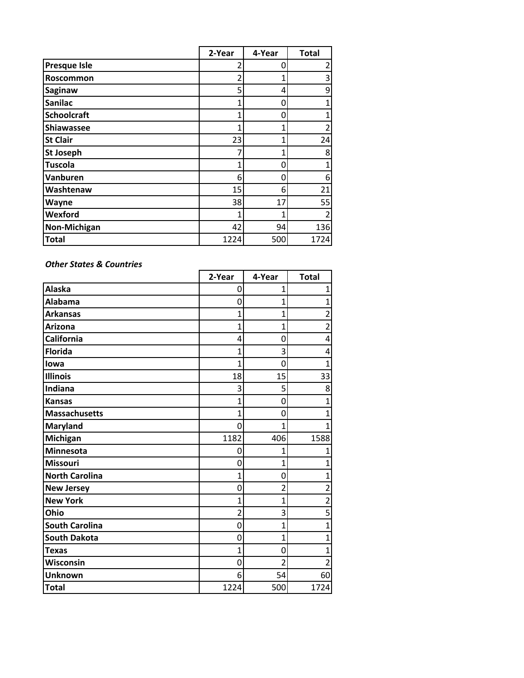|                     | 2-Year | 4-Year | <b>Total</b> |
|---------------------|--------|--------|--------------|
| <b>Presque Isle</b> |        | O      | 2            |
| Roscommon           | 2      | 1      | 3            |
| <b>Saginaw</b>      | 5      | 4      | 9            |
| <b>Sanilac</b>      | 1      | 0      | 1            |
| <b>Schoolcraft</b>  | 1      | 0      | 1            |
| Shiawassee          | 1      | 1      | 2            |
| <b>St Clair</b>     | 23     | 1      | 24           |
| <b>St Joseph</b>    |        | 1      | 8            |
| <b>Tuscola</b>      | 1      | 0      | 1            |
| Vanburen            | 6      | 0      | 6            |
| Washtenaw           | 15     | 6      | 21           |
| Wayne               | 38     | 17     | 55           |
| Wexford             | 1      |        | 2            |
| <b>Non-Michigan</b> | 42     | 94     | 136          |
| <b>Total</b>        | 1224   | 500    | 1724         |

### *Other States & Countries*

|                       | 2-Year         | 4-Year         | <b>Total</b>   |
|-----------------------|----------------|----------------|----------------|
| <b>Alaska</b>         | 0              | 1              | $\mathbf{1}$   |
| <b>Alabama</b>        | 0              | 1              | 1              |
| <b>Arkansas</b>       | 1              | $\mathbf{1}$   | $\overline{2}$ |
| <b>Arizona</b>        | 1              | $\overline{1}$ | $\overline{2}$ |
| California            | 4              | 0              | 4              |
| <b>Florida</b>        | 1              | 3              | 4              |
| lowa                  | 1              | 0              | 1              |
| <b>Illinois</b>       | 18             | 15             | 33             |
| Indiana               | 3              | 5              | 8              |
| <b>Kansas</b>         | 1              | 0              | 1              |
| <b>Massachusetts</b>  | 1              | 0              | 1              |
| <b>Maryland</b>       | $\overline{0}$ | 1              | 1              |
| Michigan              | 1182           | 406            | 1588           |
| Minnesota             | 0              | 1              | 1              |
| <b>Missouri</b>       | $\Omega$       | 1              | 1              |
| <b>North Carolina</b> | 1              | 0              | 1              |
| <b>New Jersey</b>     | 0              | $\overline{2}$ | 2              |
| <b>New York</b>       | 1              | 1              | $\overline{2}$ |
| Ohio                  | $\overline{2}$ | 3              | 5              |
| <b>South Carolina</b> | 0              | 1              | $\mathbf{1}$   |
| <b>South Dakota</b>   | $\mathbf 0$    | $\overline{1}$ | $\overline{1}$ |
| <b>Texas</b>          | 1              | 0              | 1              |
| Wisconsin             | 0              | $\overline{2}$ | 2              |
| <b>Unknown</b>        | 6              | 54             | 60             |
| <b>Total</b>          | 1224           | 500            | 1724           |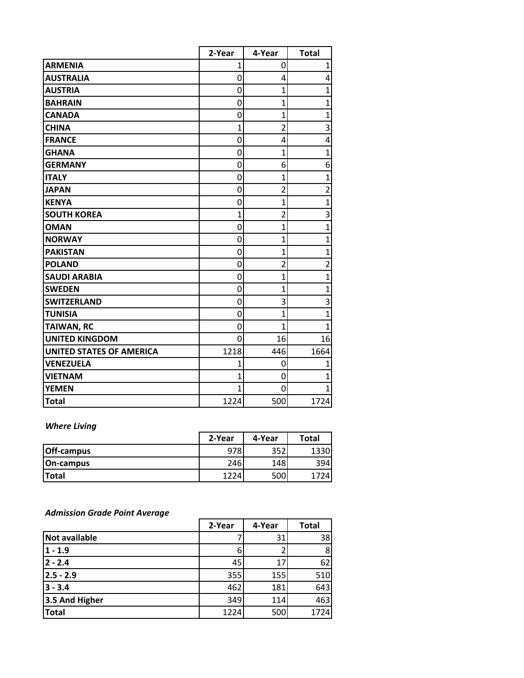|                                 | 2-Year         | 4-Year         | <b>Total</b>   |
|---------------------------------|----------------|----------------|----------------|
| <b>ARMENIA</b>                  | 1              | 0              | 1              |
| <b>AUSTRALIA</b>                | 0              | 4              | 4              |
| <b>AUSTRIA</b>                  | 0              | 1              | $\overline{1}$ |
| <b>BAHRAIN</b>                  | $\mathbf 0$    | 1              | $\overline{1}$ |
| <b>CANADA</b>                   | 0              | 1              | $\overline{1}$ |
| <b>CHINA</b>                    | $\mathbf{1}$   | $\overline{2}$ | 3              |
| <b>FRANCE</b>                   | 0              | 4              | 4              |
| <b>GHANA</b>                    | 0              | $\overline{1}$ | $\overline{1}$ |
| <b>GERMANY</b>                  | $\mathbf 0$    | 6              | 6              |
| <b>ITALY</b>                    | $\mathbf 0$    | $\overline{1}$ | $\overline{1}$ |
| <b>JAPAN</b>                    | 0              | $\overline{2}$ | $\overline{2}$ |
| <b>KENYA</b>                    | 0              | $\overline{1}$ | $\overline{1}$ |
| <b>SOUTH KOREA</b>              | $\mathbf{1}$   | $\overline{2}$ | 3              |
| <b>OMAN</b>                     | 0              | $\overline{1}$ | $\overline{1}$ |
| <b>NORWAY</b>                   | 0              | $\mathbf{1}$   | $\overline{1}$ |
| <b>PAKISTAN</b>                 | $\mathbf 0$    | 1              | $\overline{1}$ |
| <b>POLAND</b>                   | $\mathbf 0$    | $\overline{2}$ | $\overline{2}$ |
| <b>SAUDI ARABIA</b>             | 0              | 1              | $\overline{1}$ |
| <b>SWEDEN</b>                   | 0              | $\overline{1}$ | $\overline{1}$ |
| <b>SWITZERLAND</b>              | 0              | 3              | 3              |
| <b>TUNISIA</b>                  | 0              | 1              | $\overline{1}$ |
| <b>TAIWAN, RC</b>               | 0              | 1              | 1              |
| <b>UNITED KINGDOM</b>           | $\overline{0}$ | 16             | 16             |
| <b>UNITED STATES OF AMERICA</b> | 1218           | 446            | 1664           |
| <b>VENEZUELA</b>                | 1              | 0              | 1              |
| <b>VIETNAM</b>                  | $\overline{1}$ | 0              | $\overline{1}$ |
| <b>YEMEN</b>                    | $\overline{1}$ | 0              | $\overline{1}$ |
| <b>Total</b>                    | 1224           | 500            | 1724           |

## *Where Living*

|                   | 2-Year | 4-Year | <b>Total</b> |
|-------------------|--------|--------|--------------|
| <b>Off-campus</b> | 978    | 352    | 1330         |
| On-campus         | 246    | 148    | 3941         |
| <b>Total</b>      | 1224   | 500    |              |

### *Admission Grade Point Average*

|                      | 2-Year | 4-Year | <b>Total</b> |
|----------------------|--------|--------|--------------|
| <b>Not available</b> |        | 31     | 38           |
| $1 - 1.9$            | b      |        | 8            |
| $2 - 2.4$            | 45     | 17     | 62           |
| $2.5 - 2.9$          | 355    | 155    | 510          |
| $3 - 3.4$            | 462    | 181    | 643          |
| 3.5 And Higher       | 349    | 114    | 463          |
| <b>Total</b>         | 1224   | 500    | 1724         |